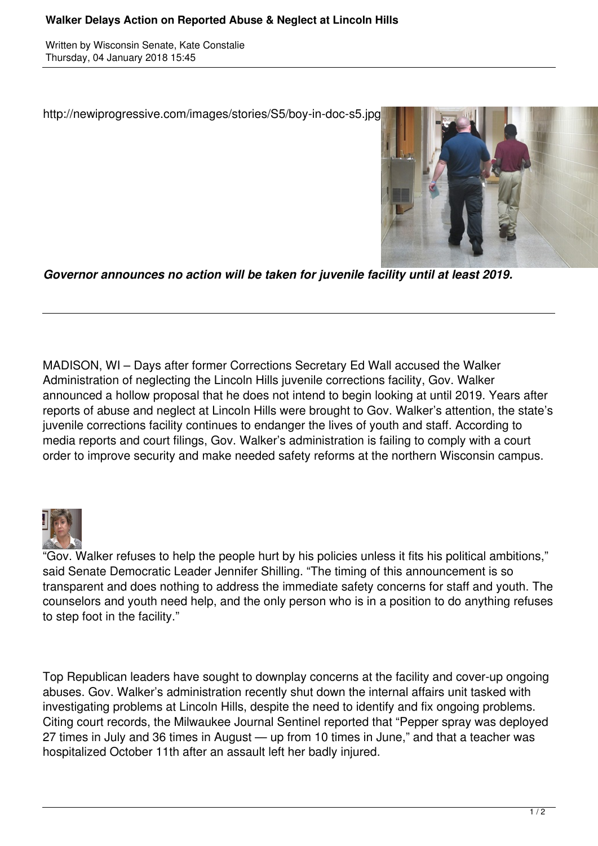## **Walker Delays Action on Reported Abuse & Neglect at Lincoln Hills**

Written by Wisconsin Senate, Kate Constalie Thursday, 04 January 2018 15:45

http://newiprogressive.com/images/stories/S5/boy-in-doc-s5.jpg



*Governor announces no action will be taken for juvenile facility until at least 2019.*

MADISON, WI – Days after former Corrections Secretary Ed Wall accused the Walker Administration of neglecting the Lincoln Hills juvenile corrections facility, Gov. Walker announced a hollow proposal that he does not intend to begin looking at until 2019. Years after reports of abuse and neglect at Lincoln Hills were brought to Gov. Walker's attention, the state's juvenile corrections facility continues to endanger the lives of youth and staff. According to media reports and court filings, Gov. Walker's administration is failing to comply with a court order to improve security and make needed safety reforms at the northern Wisconsin campus.



"Gov. Walker refuses to help the people hurt by his policies unless it fits his political ambitions," said Senate Democratic Leader Jennifer Shilling. "The timing of this announcement is so transparent and does nothing to address the immediate safety concerns for staff and youth. The counselors and youth need help, and the only person who is in a position to do anything refuses to step foot in the facility."

Top Republican leaders have sought to downplay concerns at the facility and cover-up ongoing abuses. Gov. Walker's administration recently shut down the internal affairs unit tasked with investigating problems at Lincoln Hills, despite the need to identify and fix ongoing problems. Citing court records, the Milwaukee Journal Sentinel reported that "Pepper spray was deployed 27 times in July and 36 times in August — up from 10 times in June," and that a teacher was hospitalized October 11th after an assault left her badly injured.